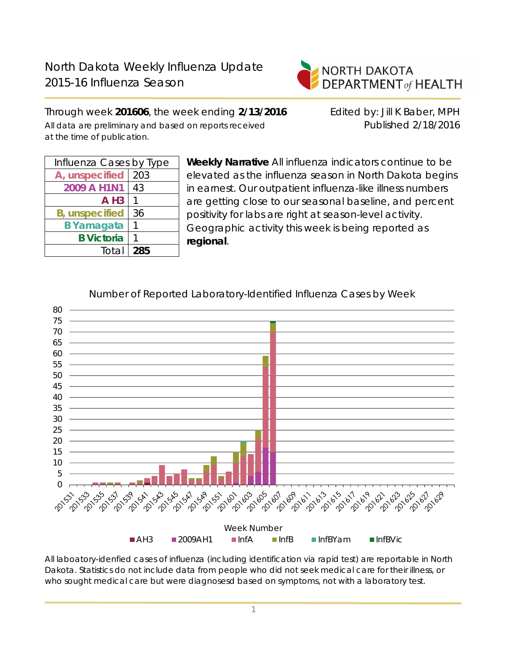

Through week **201606**, the week ending **2/13/2016** Edited by: Jill K Baber, MPH All data are preliminary and based on reports received Published 2/18/2016 at the time of publication.

| Influenza Cases by Type |     |  |  |  |
|-------------------------|-----|--|--|--|
| A, unspecified          | 203 |  |  |  |
| 2009 A H1N1             | 43  |  |  |  |
| $A$ H <sub>3</sub>      |     |  |  |  |
| <b>B</b> , unspecified  | 36  |  |  |  |
| <b>B</b> Yamagata       |     |  |  |  |
| <b>B</b> Victoria       |     |  |  |  |
| Total                   | 285 |  |  |  |
|                         |     |  |  |  |

**Weekly Narrative** All influenza indicators continue to be elevated as the influenza season in North Dakota begins in earnest. Our outpatient influenza-like illness numbers are getting close to our seasonal baseline, and percent positivity for labs are right at season-level activity. Geographic activity this week is being reported as **regional**.



Number of Reported Laboratory-Identified Influenza Cases by Week

All laboatory-idenfied cases of influenza (including identification via rapid test) are reportable in North Dakota. Statistics do not include data from people who did not seek medical care for their illness, or who sought medical care but were diagnosesd based on symptoms, not with a laboratory test.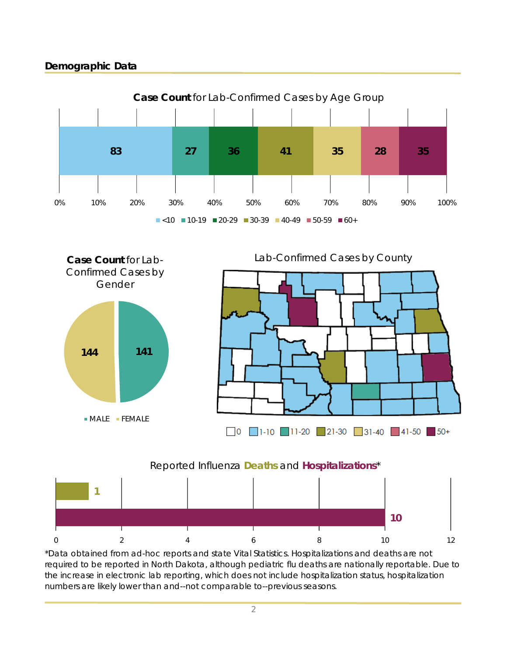# **Demographic Data**





\*Data obtained from ad-hoc reports and state Vital Statistics. Hospitalizations and deaths are not required to be reported in North Dakota, although pediatric flu deaths are nationally reportable. Due to the increase in electronic lab reporting, which does not include hospitalization status, hospitalization numbers are likely lower than and--not comparable to--previous seasons.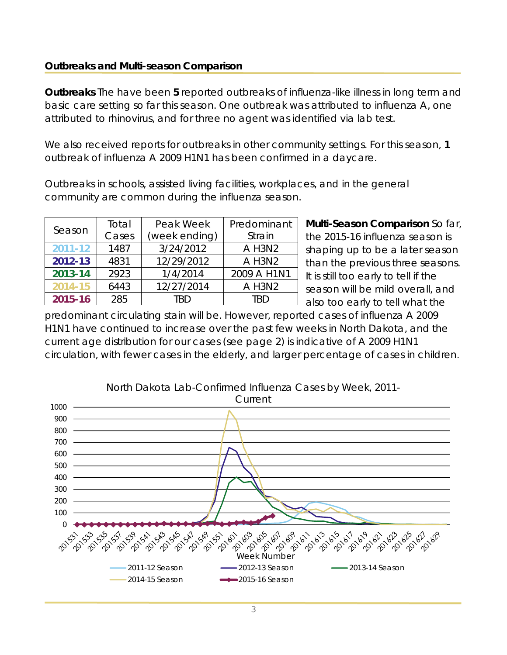#### **Outbreaks and Multi-season Comparison**

**Outbreaks** The have been **5** reported outbreaks of influenza-like illness in long term and basic care setting so far this season. One outbreak was attributed to influenza A, one attributed to rhinovirus, and for three no agent was identified via lab test.

We also received reports for outbreaks in other community settings. For this season, **1** outbreak of influenza A 2009 H1N1 has been confirmed in a daycare.

Outbreaks in schools, assisted living facilities, workplaces, and in the general community are common during the influenza season.

| Season      | Total                  | Peak Week  | Predominant |  |
|-------------|------------------------|------------|-------------|--|
|             | Cases<br>(week ending) |            | Strain      |  |
| $2011 - 12$ | 1487                   | 3/24/2012  | A H3N2      |  |
| 2012-13     | 4831                   | 12/29/2012 | A H3N2      |  |
| 2013-14     | 2923                   | 1/4/2014   | 2009 A H1N1 |  |
| 2014-15     | 6443                   | 12/27/2014 | A H3N2      |  |
| 2015-16     | 285                    | TRD        | TRD         |  |

**Multi-Season Comparison** So far, the 2015-16 influenza season is shaping up to be a later season than the previous three seasons. It is still too early to tell if the season will be mild overall, and also too early to tell what the

predominant circulating stain will be. However, reported cases of influenza A 2009 H1N1 have continued to increase over the past few weeks in North Dakota, and the current age distribution for our cases (see page 2) is indicative of A 2009 H1N1 circulation, with fewer cases in the elderly, and larger percentage of cases in children.

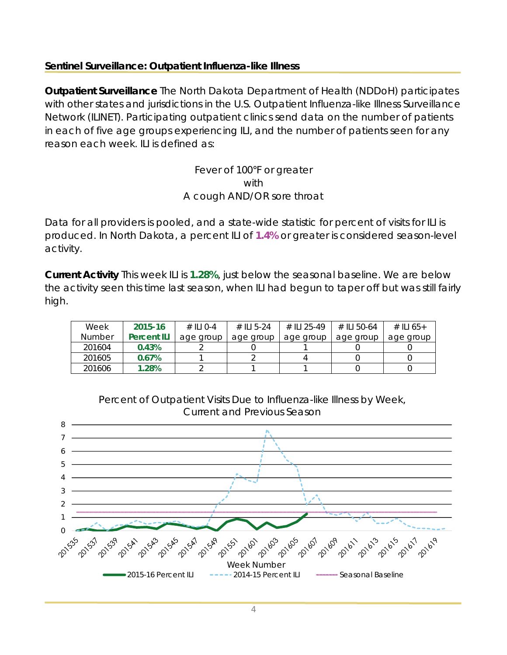### **Sentinel Surveillance: Outpatient Influenza-like Illness**

**Outpatient Surveillance** The North Dakota Department of Health (NDDoH) participates with other states and jurisdictions in the U.S. Outpatient Influenza-like Illness Surveillance Network (ILINET). Participating outpatient clinics send data on the number of patients in each of five age groups experiencing ILI, and the number of patients seen for any reason each week. ILI is defined as:

> Fever of 100°F or greater with A cough AND/OR sore throat

Data for all providers is pooled, and a state-wide statistic for percent of visits for ILI is produced. In North Dakota, a percent ILI of **1.4%** or greater is considered season-level activity.

**Current Activity** This week ILI is **1.28%**, just below the seasonal baseline. We are below the activity seen this time last season, when ILI had begun to taper off but was still fairly high.

| Week          | 2015-16            | $\#$ II I O-4 | # II 5-24 | # II 1 25-49 | # II 50-64 | # ILI 65+ |
|---------------|--------------------|---------------|-----------|--------------|------------|-----------|
| <b>Number</b> | <b>Percent ILI</b> | age group     | age group | age group    | age group  | age group |
| 201604        | 0.43%              |               |           |              |            |           |
| 201605        | 0.67%              |               |           |              |            |           |
| 201606        | 1.28%              |               |           |              |            |           |



Percent of Outpatient Visits Due to Influenza-like Illness by Week,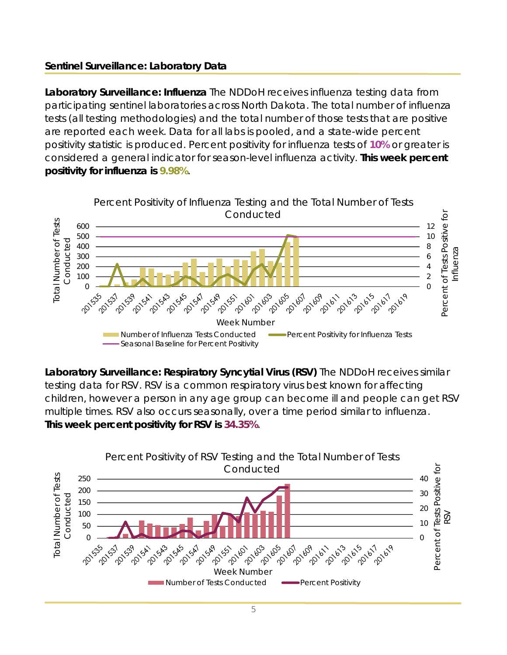# **Sentinel Surveillance: Laboratory Data**

**Laboratory Surveillance: Influenza** The NDDoH receives influenza testing data from participating sentinel laboratories across North Dakota. The total number of influenza tests (all testing methodologies) and the total number of those tests that are positive are reported each week. Data for all labs is pooled, and a state-wide percent positivity statistic is produced. Percent positivity for influenza tests of **10%** or greater is considered a general indicator for season-level influenza activity. **This week percent positivity for influenza is 9.98%**.



**Laboratory Surveillance: Respiratory Syncytial Virus (RSV)** The NDDoH receives similar testing data for RSV. RSV is a common respiratory virus best known for affecting children, however a person in any age group can become ill and people can get RSV multiple times. RSV also occurs seasonally, over a time period similar to influenza. **This week percent positivity for RSV is 34.35%**.

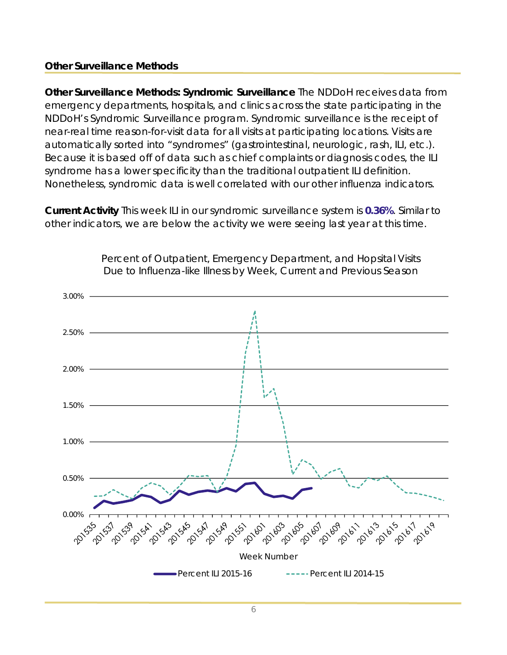#### **Other Surveillance Methods**

**Other Surveillance Methods: Syndromic Surveillance** The NDDoH receives data from emergency departments, hospitals, and clinics across the state participating in the NDDoH's Syndromic Surveillance program. Syndromic surveillance is the receipt of near-real time reason-for-visit data for all visits at participating locations. Visits are automatically sorted into "syndromes" (gastrointestinal, neurologic, rash, ILI, etc.). Because it is based off of data such as chief complaints or diagnosis codes, the ILI syndrome has a lower specificity than the traditional outpatient ILI definition. Nonetheless, syndromic data is well correlated with our other influenza indicators.

**Current Activity** This week ILI in our syndromic surveillance system is **0.36%**. Similar to other indicators, we are below the activity we were seeing last year at this time.



Percent of Outpatient, Emergency Department, and Hopsital Visits Due to Influenza-like Illness by Week, Current and Previous Season